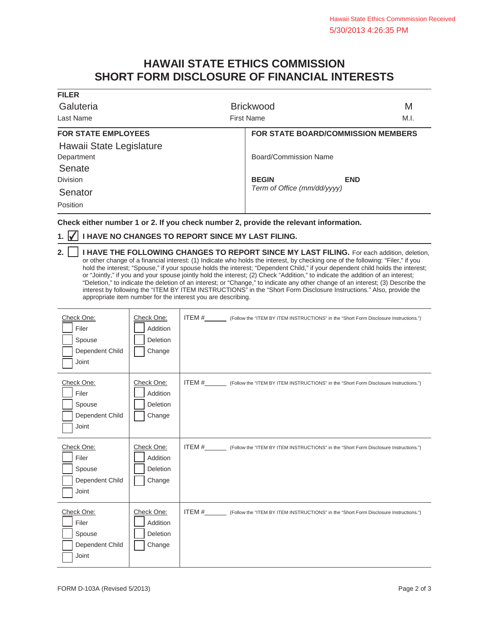## **HAWAII STATE ETHICS COMMISSION SHORT FORM DISCLOSURE OF FINANCIAL INTERESTS**

| <b>FILER</b>               |                                           |            |
|----------------------------|-------------------------------------------|------------|
| Galuteria                  | <b>Brickwood</b>                          | M          |
| Last Name                  | <b>First Name</b>                         | M.I.       |
| <b>FOR STATE EMPLOYEES</b> | <b>FOR STATE BOARD/COMMISSION MEMBERS</b> |            |
| Hawaii State Legislature   |                                           |            |
| Department                 | Board/Commission Name                     |            |
| Senate                     |                                           |            |
| <b>Division</b>            | <b>BEGIN</b>                              | <b>END</b> |
| Senator                    | Term of Office (mm/dd/yyyy)               |            |
| Position                   |                                           |            |

**Check either number 1 or 2. If you check number 2, provide the relevant information.**

## **1. √ I HAVE NO CHANGES TO REPORT SINCE MY LAST FILING.**

┱

|  | 2.     I HAVE THE FOLLOWING CHANGES TO REPORT SINCE MY LAST FILING. For each addition, deletion,                                |
|--|---------------------------------------------------------------------------------------------------------------------------------|
|  | or other change of a financial interest: (1) Indicate who holds the interest, by checking one of the following: "Filer," if you |
|  | hold the interest; "Spouse," if your spouse holds the interest; "Dependent Child," if your dependent child holds the interest;  |
|  | or "Jointly," if you and your spouse jointly hold the interest; (2) Check "Addition," to indicate the addition of an interest;  |
|  | "Deletion," to indicate the deletion of an interest; or "Change," to indicate any other change of an interest; (3) Describe the |
|  | interest by following the "ITEM BY ITEM INSTRUCTIONS" in the "Short Form Disclosure Instructions." Also, provide the            |
|  | appropriate item number for the interest you are describing.                                                                    |

| Check One:<br>Filer<br>Spouse<br>Dependent Child<br>Joint | Check One:<br>Addition<br>Deletion<br>Change | ITEM #___________ (Follow the "ITEM BY ITEM INSTRUCTIONS" in the "Short Form Disclosure Instructions.") |  |
|-----------------------------------------------------------|----------------------------------------------|---------------------------------------------------------------------------------------------------------|--|
| Check One:<br>Filer<br>Spouse<br>Dependent Child<br>Joint | Check One:<br>Addition<br>Deletion<br>Change | ITEM #___________ (Follow the "ITEM BY ITEM INSTRUCTIONS" in the "Short Form Disclosure Instructions.") |  |
| Check One:<br>Filer<br>Spouse<br>Dependent Child<br>Joint | Check One:<br>Addition<br>Deletion<br>Change | ITEM # ______ (Follow the "ITEM BY ITEM INSTRUCTIONS" in the "Short Form Disclosure Instructions.")     |  |
| Check One:<br>Filer<br>Spouse<br>Dependent Child<br>Joint | Check One:<br>Addition<br>Deletion<br>Change | ITEM #___________ (Follow the "ITEM BY ITEM INSTRUCTIONS" in the "Short Form Disclosure Instructions.") |  |